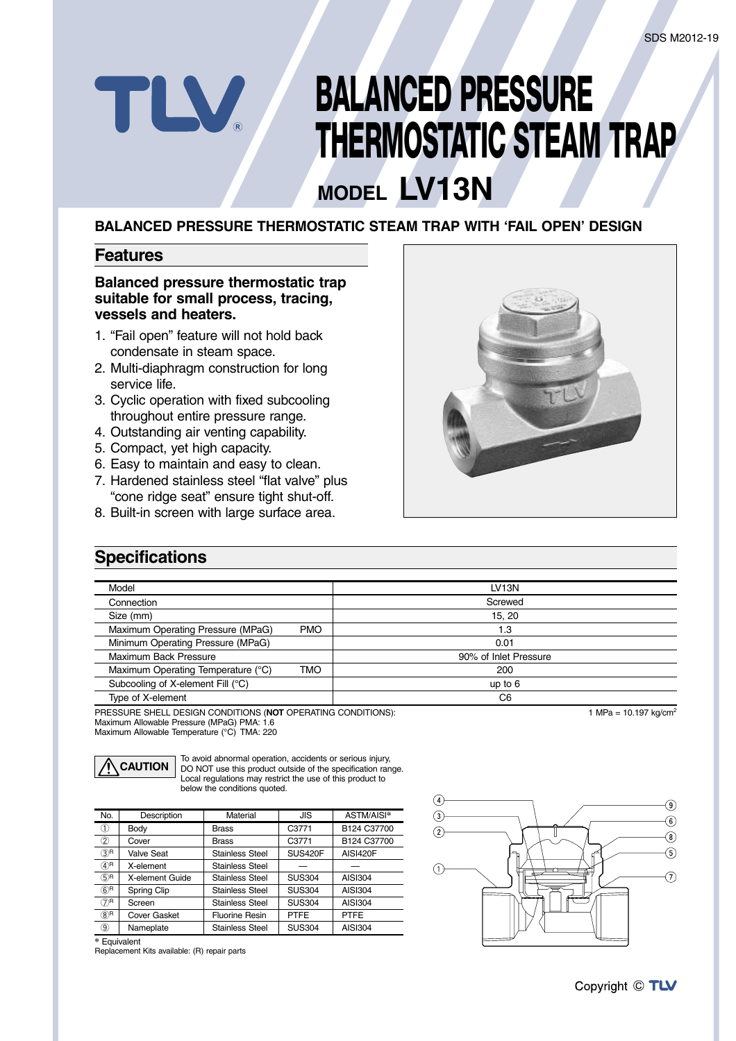# **BALANCED PRESSURE THERMOSTATIC STEAM TRAP**

# **MODEL LV13N**

#### **BALANCED PRESSURE THERMOSTATIC STEAM TRAP WITH 'FAIL OPEN' DESIGN**

#### **Features**

TLV

#### **Balanced pressure thermostatic trap suitable for small process, tracing, vessels and heaters.**

- 1. "Fail open" feature will not hold back condensate in steam space.
- 2. Multi-diaphragm construction for long service life.
- 3. Cyclic operation with fixed subcooling throughout entire pressure range.
- 4. Outstanding air venting capability.
- 5. Compact, yet high capacity.
- 6. Easy to maintain and easy to clean.
- 7. Hardened stainless steel "flat valve" plus "cone ridge seat" ensure tight shut-off.
- 8. Built-in screen with large surface area.



### **Specifications**

| Model                              |            | LV <sub>13N</sub>     |
|------------------------------------|------------|-----------------------|
| Connection                         |            | Screwed               |
| Size (mm)                          |            | 15, 20                |
| Maximum Operating Pressure (MPaG)  | <b>PMO</b> | 1.3                   |
| Minimum Operating Pressure (MPaG)  |            | 0.01                  |
| Maximum Back Pressure              |            | 90% of Inlet Pressure |
| Maximum Operating Temperature (°C) | <b>TMO</b> | 200                   |
| Subcooling of X-element Fill (°C)  |            | up to $6$             |
| Type of X-element                  |            | C <sub>6</sub>        |

PRESSURE SHELL DESIGN CONDITIONS (**NOT** OPERATING CONDITIONS): Maximum Allowable Pressure (MPaG) PMA: 1.6 Maximum Allowable Temperature (°C) TMA: 220



To avoid abnormal operation, accidents or serious injury, DO NOT use this product outside of the specification range. Local regulations may restrict the use of this product to below the conditions quoted.

| No.                        | Description         | Material               | JIS               | ASTM/AISI*     |
|----------------------------|---------------------|------------------------|-------------------|----------------|
| (1)                        | Body                | <b>Brass</b>           | C3771             | B124 C37700    |
| 2                          | Cover               | <b>Brass</b>           | C <sub>3771</sub> | B124 C37700    |
| $(3)$ R                    | <b>Valve Seat</b>   | Stainless Steel        | SUS420F           | AISI420F       |
| $\mathcal{A}$ <sup>R</sup> | X-element           | Stainless Steel        |                   |                |
| $(5)$ R                    | X-element Guide     | Stainless Steel        | <b>SUS304</b>     | <b>AISI304</b> |
| $(6)$ R                    | Spring Clip         | Stainless Steel        | <b>SUS304</b>     | <b>AISI304</b> |
| $\mathcal{D}^{\mathsf{R}}$ | Screen              | Stainless Steel        | <b>SUS304</b>     | <b>AISI304</b> |
| $(8)$ R                    | <b>Cover Gasket</b> | Fluorine Resin         | <b>PTFE</b>       | <b>PTFE</b>    |
| ⊚                          | Nameplate           | <b>Stainless Steel</b> | <b>SUS304</b>     | <b>AISI304</b> |

**\*** Equivalent

Replacement Kits available: (R) repair parts



1 MPa =  $10.197 \text{ ka/cm}^2$